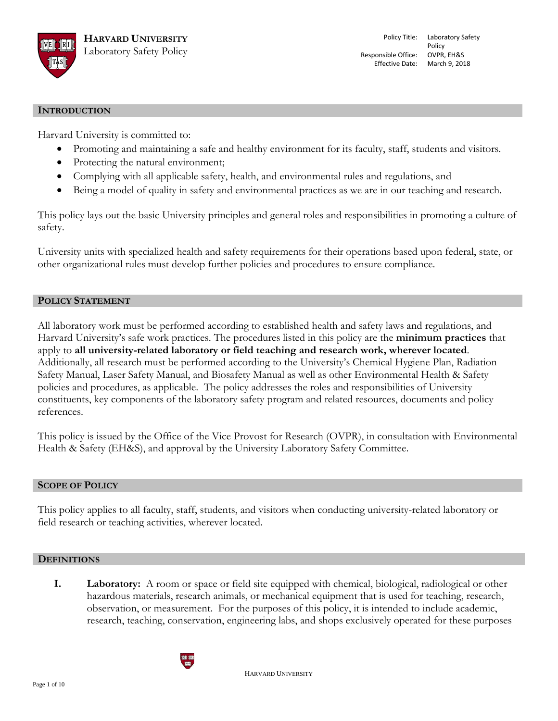

#### **INTRODUCTION**

Harvard University is committed to:

- Promoting and maintaining a safe and healthy environment for its faculty, staff, students and visitors.
- Protecting the natural environment;
- Complying with all applicable safety, health, and environmental rules and regulations, and
- Being a model of quality in safety and environmental practices as we are in our teaching and research.

This policy lays out the basic University principles and general roles and responsibilities in promoting a culture of safety.

University units with specialized health and safety requirements for their operations based upon federal, state, or other organizational rules must develop further policies and procedures to ensure compliance.

### **POLICY STATEMENT**

All laboratory work must be performed according to established health and safety laws and regulations, and Harvard University's safe work practices. The procedures listed in this policy are the **minimum practices** that apply to **all university-related laboratory or field teaching and research work, wherever located**. Additionally, all research must be performed according to the University's Chemical Hygiene Plan, Radiation Safety Manual, Laser Safety Manual, and Biosafety Manual as well as other Environmental Health & Safety policies and procedures, as applicable. The policy addresses the roles and responsibilities of University constituents, key components of the laboratory safety program and related resources, documents and policy references.

This policy is issued by the Office of the Vice Provost for Research (OVPR), in consultation with Environmental Health & Safety (EH&S), and approval by the University Laboratory Safety Committee.

#### **SCOPE OF POLICY**

This policy applies to all faculty, staff, students, and visitors when conducting university-related laboratory or field research or teaching activities, wherever located.

#### **DEFINITIONS**

**I. Laboratory:** A room or space or field site equipped with chemical, biological, radiological or other hazardous materials, research animals, or mechanical equipment that is used for teaching, research, observation, or measurement. For the purposes of this policy, it is intended to include academic, research, teaching, conservation, engineering labs, and shops exclusively operated for these purposes



HARVARD UNIVERSITY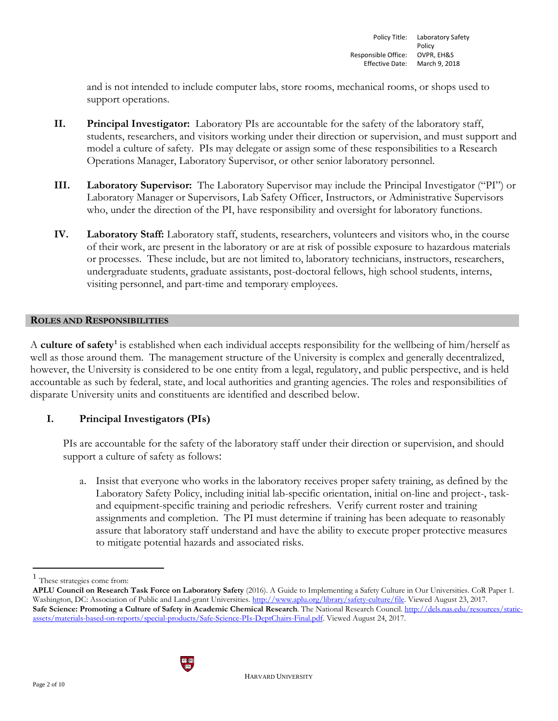and is not intended to include computer labs, store rooms, mechanical rooms, or shops used to support operations.

- **II. Principal Investigator:** Laboratory PIs are accountable for the safety of the laboratory staff, students, researchers, and visitors working under their direction or supervision, and must support and model a culture of safety. PIs may delegate or assign some of these responsibilities to a Research Operations Manager, Laboratory Supervisor, or other senior laboratory personnel.
- **III. Laboratory Supervisor:** The Laboratory Supervisor may include the Principal Investigator ("PI") or Laboratory Manager or Supervisors, Lab Safety Officer, Instructors, or Administrative Supervisors who, under the direction of the PI, have responsibility and oversight for laboratory functions.
- **IV. Laboratory Staff:** Laboratory staff, students, researchers, volunteers and visitors who, in the course of their work, are present in the laboratory or are at risk of possible exposure to hazardous materials or processes. These include, but are not limited to, laboratory technicians, instructors, researchers, undergraduate students, graduate assistants, post-doctoral fellows, high school students, interns, visiting personnel, and part-time and temporary employees.

### **ROLES AND RESPONSIBILITIES**

A **culture of safety[1](#page-1-0)** is established when each individual accepts responsibility for the wellbeing of him/herself as well as those around them. The management structure of the University is complex and generally decentralized, however, the University is considered to be one entity from a legal, regulatory, and public perspective, and is held accountable as such by federal, state, and local authorities and granting agencies. The roles and responsibilities of disparate University units and constituents are identified and described below.

# **I. Principal Investigators (PIs)**

PIs are accountable for the safety of the laboratory staff under their direction or supervision, and should support a culture of safety as follows:

a. Insist that everyone who works in the laboratory receives proper safety training, as defined by the Laboratory Safety Policy, including initial lab-specific orientation, initial on-line and project-, taskand equipment-specific training and periodic refreshers. Verify current roster and training assignments and completion. The PI must determine if training has been adequate to reasonably assure that laboratory staff understand and have the ability to execute proper protective measures to mitigate potential hazards and associated risks.

**APLU Council on Research Task Force on Laboratory Safety** (2016). A Guide to Implementing a Safety Culture in Our Universities. CoR Paper 1. Washington, DC: Association of Public and Land-grant Universities. [http://www.aplu.org/library/safety-culture/file.](http://www.aplu.org/library/safety-culture/file) Viewed August 23, 2017. **Safe Science: Promoting a Culture of Safety in Academic Chemical Research**. The National Research Council. [http://dels.nas.edu/resources/static](http://dels.nas.edu/resources/static-assets/materials-based-on-reports/special-products/Safe-Science-PIs-DeptChairs-Final.pdf)[assets/materials-based-on-reports/special-products/Safe-Science-PIs-DeptChairs-Final.pdf.](http://dels.nas.edu/resources/static-assets/materials-based-on-reports/special-products/Safe-Science-PIs-DeptChairs-Final.pdf) Viewed August 24, 2017.



<span id="page-1-0"></span><sup>&</sup>lt;sup>1</sup> These strategies come from: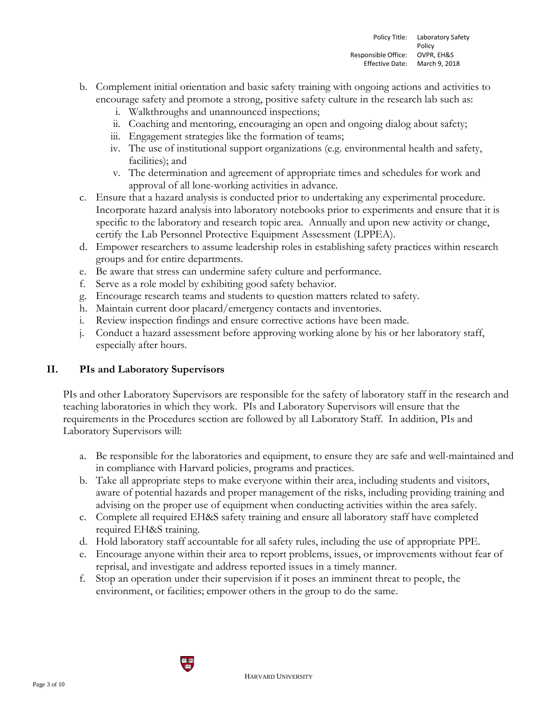- b. Complement initial orientation and basic safety training with ongoing actions and activities to encourage safety and promote a strong, positive safety culture in the research lab such as:
	- i. Walkthroughs and unannounced inspections;
	- ii. Coaching and mentoring, encouraging an open and ongoing dialog about safety;
	- iii. Engagement strategies like the formation of teams;
	- iv. The use of institutional support organizations (e.g. environmental health and safety, facilities); and
	- v. The determination and agreement of appropriate times and schedules for work and approval of all lone-working activities in advance.
- c. Ensure that a hazard analysis is conducted prior to undertaking any experimental procedure. Incorporate hazard analysis into laboratory notebooks prior to experiments and ensure that it is specific to the laboratory and research topic area. Annually and upon new activity or change, certify the Lab Personnel Protective Equipment Assessment (LPPEA).
- d. Empower researchers to assume leadership roles in establishing safety practices within research groups and for entire departments.
- e. Be aware that stress can undermine safety culture and performance.
- f. Serve as a role model by exhibiting good safety behavior.
- g. Encourage research teams and students to question matters related to safety.
- h. Maintain current door placard/emergency contacts and inventories.
- i. Review inspection findings and ensure corrective actions have been made.
- j. Conduct a hazard assessment before approving working alone by his or her laboratory staff, especially after hours.

# **II. PIs and Laboratory Supervisors**

PIs and other Laboratory Supervisors are responsible for the safety of laboratory staff in the research and teaching laboratories in which they work. PIs and Laboratory Supervisors will ensure that the requirements in the Procedures section are followed by all Laboratory Staff. In addition, PIs and Laboratory Supervisors will:

- a. Be responsible for the laboratories and equipment, to ensure they are safe and well-maintained and in compliance with Harvard policies, programs and practices.
- b. Take all appropriate steps to make everyone within their area, including students and visitors, aware of potential hazards and proper management of the risks, including providing training and advising on the proper use of equipment when conducting activities within the area safely.
- c. Complete all required EH&S safety training and ensure all laboratory staff have completed required EH&S training.
- d. Hold laboratory staff accountable for all safety rules, including the use of appropriate PPE.
- e. Encourage anyone within their area to report problems, issues, or improvements without fear of reprisal, and investigate and address reported issues in a timely manner.
- f. Stop an operation under their supervision if it poses an imminent threat to people, the environment, or facilities; empower others in the group to do the same.

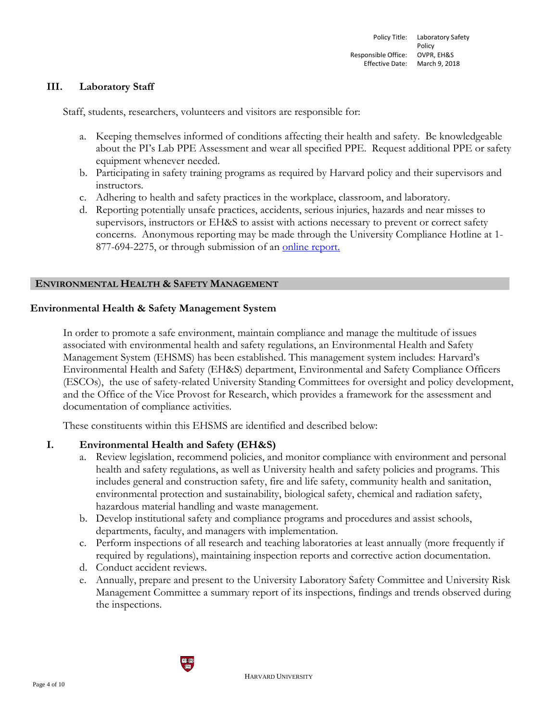### **III. Laboratory Staff**

Staff, students, researchers, volunteers and visitors are responsible for:

- a. Keeping themselves informed of conditions affecting their health and safety. Be knowledgeable about the PI's Lab PPE Assessment and wear all specified PPE. Request additional PPE or safety equipment whenever needed.
- b. Participating in safety training programs as required by Harvard policy and their supervisors and instructors.
- c. Adhering to health and safety practices in the workplace, classroom, and laboratory.
- d. Reporting potentially unsafe practices, accidents, serious injuries, hazards and near misses to supervisors, instructors or EH&S to assist with actions necessary to prevent or correct safety concerns. Anonymous reporting may be made through the University Compliance Hotline at 1- 877-694-2275, or through submission of an [online report.](https://www.integrity-helpline.com/HarvardUniversity.jsp)

### **ENVIRONMENTAL HEALTH & SAFETY MANAGEMENT**

### **Environmental Health & Safety Management System**

In order to promote a safe environment, maintain compliance and manage the multitude of issues associated with environmental health and safety regulations, an Environmental Health and Safety Management System (EHSMS) has been established. This management system includes: Harvard's Environmental Health and Safety (EH&S) department, Environmental and Safety Compliance Officers (ESCOs), the use of safety-related University Standing Committees for oversight and policy development, and the Office of the Vice Provost for Research, which provides a framework for the assessment and documentation of compliance activities.

These constituents within this EHSMS are identified and described below:

## **I. Environmental Health and Safety (EH&S)**

- a. Review legislation, recommend policies, and monitor compliance with environment and personal health and safety regulations, as well as University health and safety policies and programs. This includes general and construction safety, fire and life safety, community health and sanitation, environmental protection and sustainability, biological safety, chemical and radiation safety, hazardous material handling and waste management.
- b. Develop institutional safety and compliance programs and procedures and assist schools, departments, faculty, and managers with implementation.
- c. Perform inspections of all research and teaching laboratories at least annually (more frequently if required by regulations), maintaining inspection reports and corrective action documentation.
- d. Conduct accident reviews.
- e. Annually, prepare and present to the University Laboratory Safety Committee and University Risk Management Committee a summary report of its inspections, findings and trends observed during the inspections.

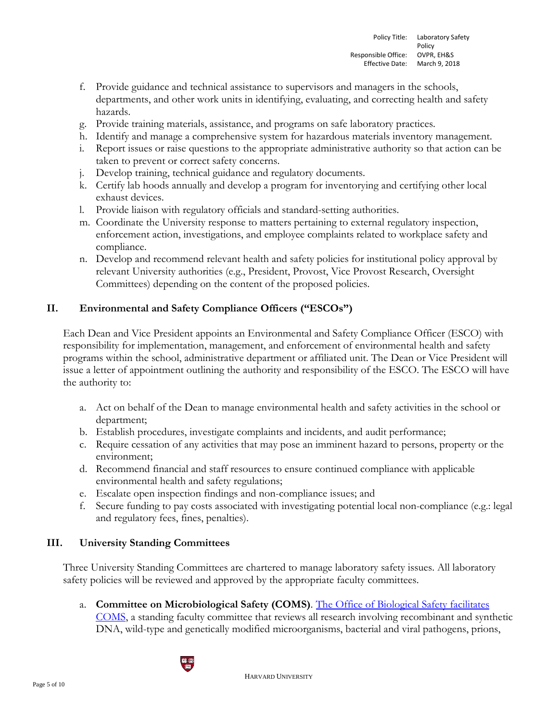- f. Provide guidance and technical assistance to supervisors and managers in the schools, departments, and other work units in identifying, evaluating, and correcting health and safety hazards.
- g. Provide training materials, assistance, and programs on safe laboratory practices.
- h. Identify and manage a comprehensive system for hazardous materials inventory management.
- i. Report issues or raise questions to the appropriate administrative authority so that action can be taken to prevent or correct safety concerns.
- j. Develop training, technical guidance and regulatory documents.
- k. Certify lab hoods annually and develop a program for inventorying and certifying other local exhaust devices.
- l. Provide liaison with regulatory officials and standard-setting authorities.
- m. Coordinate the University response to matters pertaining to external regulatory inspection, enforcement action, investigations, and employee complaints related to workplace safety and compliance.
- n. Develop and recommend relevant health and safety policies for institutional policy approval by relevant University authorities (e.g., President, Provost, Vice Provost Research, Oversight Committees) depending on the content of the proposed policies.

# **II. Environmental and Safety Compliance Officers ("ESCOs")**

Each Dean and Vice President appoints an Environmental and Safety Compliance Officer (ESCO) with responsibility for implementation, management, and enforcement of environmental health and safety programs within the school, administrative department or affiliated unit. The Dean or Vice President will issue a letter of appointment outlining the authority and responsibility of the ESCO. The ESCO will have the authority to:

- a. Act on behalf of the Dean to manage environmental health and safety activities in the school or department;
- b. Establish procedures, investigate complaints and incidents, and audit performance;
- c. Require cessation of any activities that may pose an imminent hazard to persons, property or the environment;
- d. Recommend financial and staff resources to ensure continued compliance with applicable environmental health and safety regulations;
- e. Escalate open inspection findings and non-compliance issues; and
- f. Secure funding to pay costs associated with investigating potential local non-compliance (e.g.: legal and regulatory fees, fines, penalties).

# **III. University Standing Committees**

Three University Standing Committees are chartered to manage laboratory safety issues. All laboratory safety policies will be reviewed and approved by the appropriate faculty committees.

a. **Committee on Microbiological Safety (COMS)**. [The Office of Biological Safety facilitates](https://hms.harvard.edu/departments/committee-microbiological-safety)  [COMS,](https://hms.harvard.edu/departments/committee-microbiological-safety) a standing faculty committee that reviews all research involving recombinant and synthetic DNA, wild-type and genetically modified microorganisms, bacterial and viral pathogens, prions,

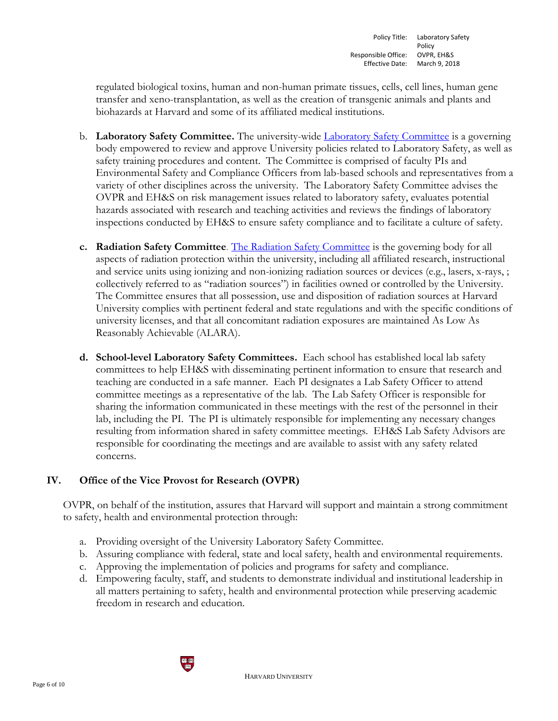regulated biological toxins, human and non-human primate tissues, cells, cell lines, human gene transfer and xeno-transplantation, as well as the creation of transgenic animals and plants and biohazards at Harvard and some of its affiliated medical institutions.

- b. **Laboratory Safety Committee.** The university-wide [Laboratory Safety Committee](https://vpr.harvard.edu/lab-safety) is a governing body empowered to review and approve University policies related to Laboratory Safety, as well as safety training procedures and content. The Committee is comprised of faculty PIs and Environmental Safety and Compliance Officers from lab-based schools and representatives from a variety of other disciplines across the university. The Laboratory Safety Committee advises the OVPR and EH&S on risk management issues related to laboratory safety, evaluates potential hazards associated with research and teaching activities and reviews the findings of laboratory inspections conducted by EH&S to ensure safety compliance and to facilitate a culture of safety.
- **c. Radiation Safety Committee**. [The Radiation Safety Committee](https://www.ehs.harvard.edu/programs/radiation-safety-committee) is the governing body for all aspects of radiation protection within the university, including all affiliated research, instructional and service units using ionizing and non-ionizing radiation sources or devices (e.g., lasers, x-rays, ; collectively referred to as "radiation sources") in facilities owned or controlled by the University. The Committee ensures that all possession, use and disposition of radiation sources at Harvard University complies with pertinent federal and state regulations and with the specific conditions of university licenses, and that all concomitant radiation exposures are maintained As Low As Reasonably Achievable (ALARA).
- **d. School-level Laboratory Safety Committees.** Each school has established local lab safety committees to help EH&S with disseminating pertinent information to ensure that research and teaching are conducted in a safe manner. Each PI designates a Lab Safety Officer to attend committee meetings as a representative of the lab. The Lab Safety Officer is responsible for sharing the information communicated in these meetings with the rest of the personnel in their lab, including the PI. The PI is ultimately responsible for implementing any necessary changes resulting from information shared in safety committee meetings. EH&S Lab Safety Advisors are responsible for coordinating the meetings and are available to assist with any safety related concerns.

# **IV. Office of the Vice Provost for Research (OVPR)**

OVPR, on behalf of the institution, assures that Harvard will support and maintain a strong commitment to safety, health and environmental protection through:

- a. Providing oversight of the University Laboratory Safety Committee.
- b. Assuring compliance with federal, state and local safety, health and environmental requirements.
- c. Approving the implementation of policies and programs for safety and compliance.
- d. Empowering faculty, staff, and students to demonstrate individual and institutional leadership in all matters pertaining to safety, health and environmental protection while preserving academic freedom in research and education.

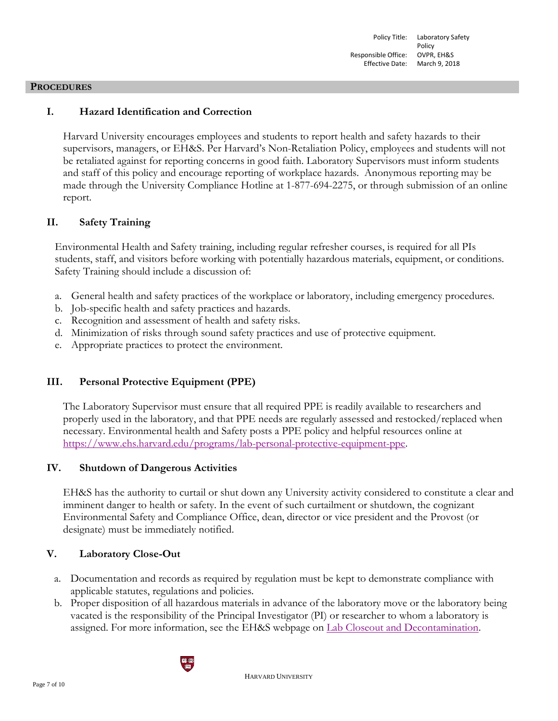#### **PROCEDURES**

## **I. Hazard Identification and Correction**

Harvard University encourages employees and students to report health and safety hazards to their supervisors, managers, or EH&S. Per Harvard's Non-Retaliation Policy, employees and students will not be retaliated against for reporting concerns in good faith. Laboratory Supervisors must inform students and staff of this policy and encourage reporting of workplace hazards. Anonymous reporting may be made through the University Compliance Hotline at 1-877-694-2275, or through submission of an online report.

## **II. Safety Training**

Environmental Health and Safety training, including regular refresher courses, is required for all PIs students, staff, and visitors before working with potentially hazardous materials, equipment, or conditions. Safety Training should include a discussion of:

- a. General health and safety practices of the workplace or laboratory, including emergency procedures.
- b. Job-specific health and safety practices and hazards.
- c. Recognition and assessment of health and safety risks.
- d. Minimization of risks through sound safety practices and use of protective equipment.
- e. Appropriate practices to protect the environment.

# **III. Personal Protective Equipment (PPE)**

The Laboratory Supervisor must ensure that all required PPE is readily available to researchers and properly used in the laboratory, and that PPE needs are regularly assessed and restocked/replaced when necessary. Environmental health and Safety posts a PPE policy and helpful resources online at [https://www.ehs.harvard.edu/programs/lab-personal-protective-equipment-ppe.](https://www.ehs.harvard.edu/programs/lab-personal-protective-equipment-ppe)

## **IV. Shutdown of Dangerous Activities**

EH&S has the authority to curtail or shut down any University activity considered to constitute a clear and imminent danger to health or safety. In the event of such curtailment or shutdown, the cognizant Environmental Safety and Compliance Office, dean, director or vice president and the Provost (or designate) must be immediately notified.

## **V. Laboratory Close-Out**

- a. Documentation and records as required by regulation must be kept to demonstrate compliance with applicable statutes, regulations and policies.
- b. Proper disposition of all hazardous materials in advance of the laboratory move or the laboratory being vacated is the responsibility of the Principal Investigator (PI) or researcher to whom a laboratory is assigned. For more information, see the EH&S webpage on [Lab Closeout and Decontamination.](https://www.ehs.harvard.edu/programs/lab-closeout-decontamination)

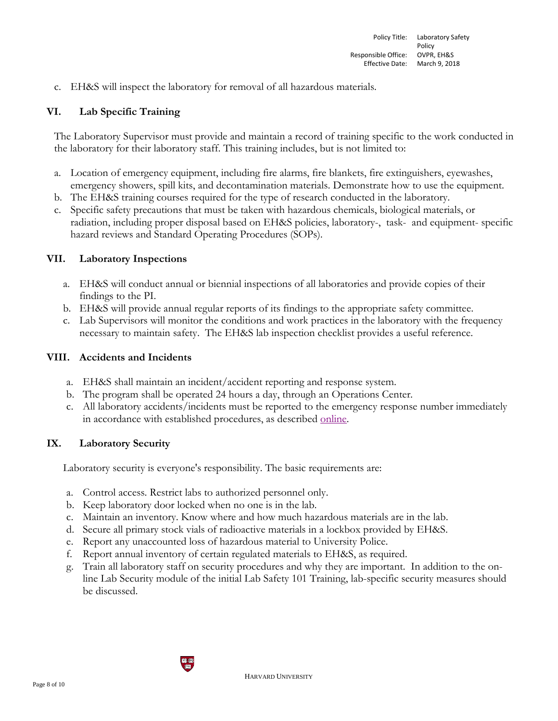c. EH&S will inspect the laboratory for removal of all hazardous materials.

### **VI. Lab Specific Training**

The Laboratory Supervisor must provide and maintain a record of training specific to the work conducted in the laboratory for their laboratory staff. This training includes, but is not limited to:

- a. Location of emergency equipment, including fire alarms, fire blankets, fire extinguishers, eyewashes, emergency showers, spill kits, and decontamination materials. Demonstrate how to use the equipment.
- b. The EH&S training courses required for the type of research conducted in the laboratory.
- c. Specific safety precautions that must be taken with hazardous chemicals, biological materials, or radiation, including proper disposal based on EH&S policies, laboratory-, task- and equipment- specific hazard reviews and Standard Operating Procedures (SOPs).

### **VII. Laboratory Inspections**

- a. EH&S will conduct annual or biennial inspections of all laboratories and provide copies of their findings to the PI.
- b. EH&S will provide annual regular reports of its findings to the appropriate safety committee.
- c. Lab Supervisors will monitor the conditions and work practices in the laboratory with the frequency necessary to maintain safety. The EH&S lab inspection checklist provides a useful reference.

### **VIII. Accidents and Incidents**

- a. EH&S shall maintain an incident/accident reporting and response system.
- b. The program shall be operated 24 hours a day, through an Operations Center.
- c. All laboratory accidents/incidents must be reported to the emergency response number immediately in accordance with established procedures, as described [online.](https://www.ehs.harvard.edu/programs/accident-reporting-investigation)

### **IX. Laboratory Security**

Laboratory security is everyone's responsibility. The basic requirements are:

- a. Control access. Restrict labs to authorized personnel only.
- b. Keep laboratory door locked when no one is in the lab.
- c. Maintain an inventory. Know where and how much hazardous materials are in the lab.
- d. Secure all primary stock vials of radioactive materials in a lockbox provided by EH&S.
- e. Report any unaccounted loss of hazardous material to University Police.
- f. Report annual inventory of certain regulated materials to EH&S, as required.
- g. Train all laboratory staff on security procedures and why they are important. In addition to the online Lab Security module of the initial Lab Safety 101 Training, lab-specific security measures should be discussed.

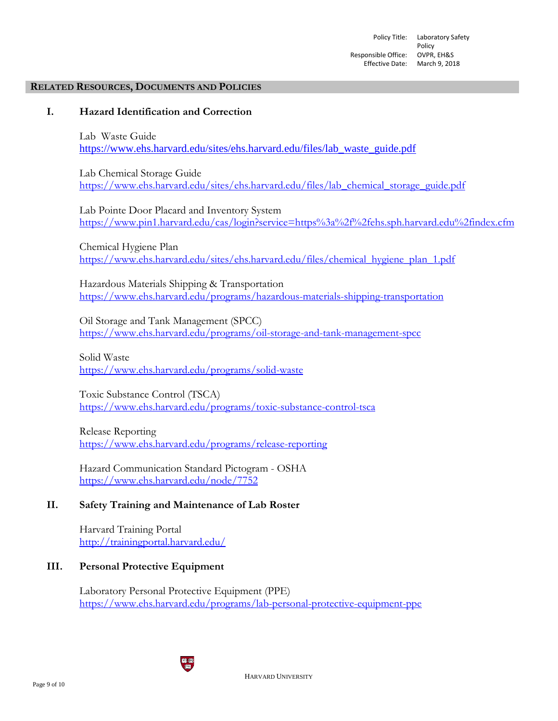#### **RELATED RESOURCES, DOCUMENTS AND POLICIES**

## **I. Hazard Identification and Correction**

Lab Waste Guide [https://www.ehs.harvard.edu/sites/ehs.harvard.edu/files/lab\\_waste\\_guide.pdf](https://www.ehs.harvard.edu/sites/ehs.harvard.edu/files/lab_waste_guide.pdf)

Lab Chemical Storage Guide https://www.ehs.harvard.edu/sites/ehs.harvard.edu/files/lab\_chemical\_storage\_guide.pdf

Lab Pointe Door Placard and Inventory System <https://www.pin1.harvard.edu/cas/login?service=https%3a%2f%2fehs.sph.harvard.edu%2findex.cfm>

Chemical Hygiene Plan [https://www.ehs.harvard.edu/sites/ehs.harvard.edu/files/chemical\\_hygiene\\_plan\\_1.pdf](https://www.ehs.harvard.edu/sites/ehs.harvard.edu/files/chemical_hygiene_plan_1.pdf)

Hazardous Materials Shipping & Transportation <https://www.ehs.harvard.edu/programs/hazardous-materials-shipping-transportation>

Oil Storage and Tank Management (SPCC) <https://www.ehs.harvard.edu/programs/oil-storage-and-tank-management-spcc>

Solid Waste <https://www.ehs.harvard.edu/programs/solid-waste>

Toxic Substance Control (TSCA) <https://www.ehs.harvard.edu/programs/toxic-substance-control-tsca>

Release Reporting <https://www.ehs.harvard.edu/programs/release-reporting>

Hazard Communication Standard Pictogram - OSHA <https://www.ehs.harvard.edu/node/7752>

### **II. Safety Training and Maintenance of Lab Roster**

Harvard Training Portal <http://trainingportal.harvard.edu/>

### **III. Personal Protective Equipment**

Laboratory Personal Protective Equipment (PPE) <https://www.ehs.harvard.edu/programs/lab-personal-protective-equipment-ppe>